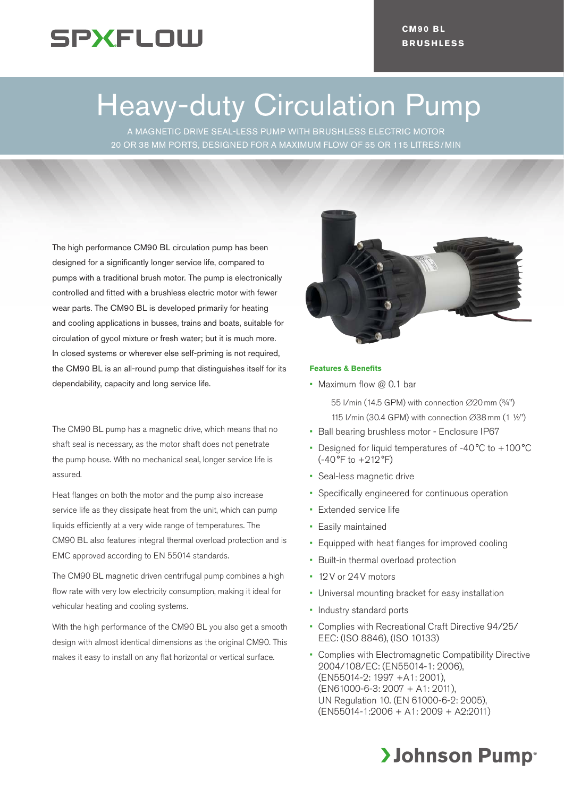

# Heavy-duty Circulation Pump

A MAGNETIC DRIVE SEAL-LESS PUMP WITH BRUSHLESS ELECTRIC MOTOR 20 OR 38 MM PORTS, DESIGNED FOR A MAXIMUM FLOW OF 55 OR 115 LITRES/ MIN

The high performance CM90 BL circulation pump has been designed for a significantly longer service life, compared to pumps with a traditional brush motor. The pump is electronically controlled and fitted with a brushless electric motor with fewer wear parts. The CM90 BL is developed primarily for heating and cooling applications in busses, trains and boats, suitable for circulation of gycol mixture or fresh water; but it is much more. In closed systems or wherever else self-priming is not required, the CM90 BL is an all-round pump that distinguishes itself for its dependability, capacity and long service life.

The CM90 BL pump has a magnetic drive, which means that no shaft seal is necessary, as the motor shaft does not penetrate the pump house. With no mechanical seal, longer service life is assured.

Heat flanges on both the motor and the pump also increase service life as they dissipate heat from the unit, which can pump liquids efficiently at a very wide range of temperatures. The CM90 BL also features integral thermal overload protection and is EMC approved according to EN 55014 standards.

The CM90 BL magnetic driven centrifugal pump combines a high flow rate with very low electricity consumption, making it ideal for vehicular heating and cooling systems.

With the high performance of the CM90 BL you also get a smooth design with almost identical dimensions as the original CM90. This makes it easy to install on any flat horizontal or vertical surface.



### **Features & Benefits**

• Maximum flow  $@$  0.1 bar

55 l/min (14.5 GPM) with connection ∅20mm (¾")

- 115 l/min (30.4 GPM) with connection ∅38mm (1 ½")
- Ball bearing brushless motor Enclosure IP67
- Designed for liquid temperatures of -40 °C to +100 °C (-40°F to +212°F)
- Seal-less magnetic drive
- Specifically engineered for continuous operation
- Extended service life
- • Easily maintained
- Equipped with heat flanges for improved cooling
- Built-in thermal overload protection
- • 12V or 24V motors
- • Universal mounting bracket for easy installation
- Industry standard ports
- • Complies with Recreational Craft Directive 94/25/ EEC: (ISO 8846), (ISO 10133)
- Complies with Electromagnetic Compatibility Directive 2004/108/EC: (EN55014-1: 2006), (EN55014-2: 1997 +A1: 2001), (EN61000-6-3: 2007 + A1: 2011), UN Regulation 10. (EN 61000-6-2: 2005), (EN55014-1:2006 + A1: 2009 + A2:2011)

# **>Johnson Pump**®